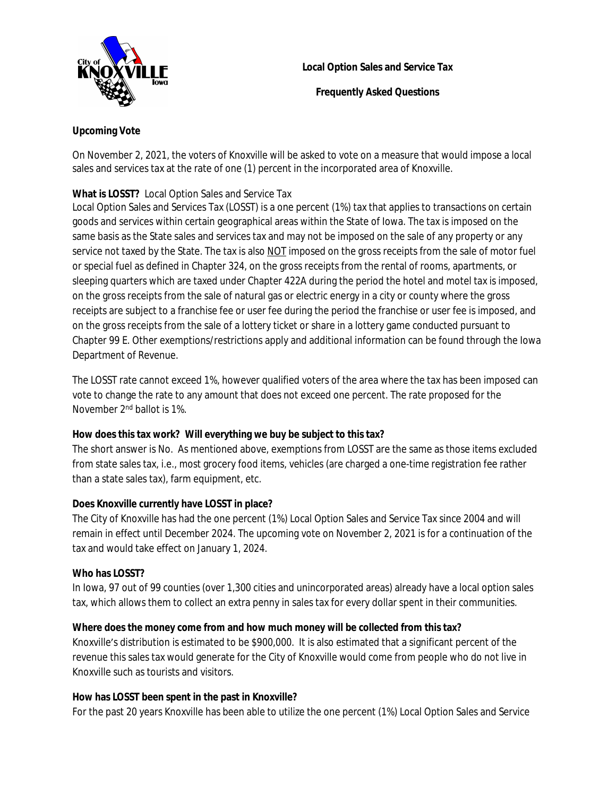

**Local Option Sales and Service Tax**

**Frequently Asked Questions**

# **Upcoming Vote**

On November 2, 2021, the voters of Knoxville will be asked to vote on a measure that would impose a local sales and services tax at the rate of one (1) percent in the incorporated area of Knoxville.

# **What is LOSST?** Local Option Sales and Service Tax

Local Option Sales and Services Tax (LOSST) is a one percent (1%) tax that applies to transactions on certain goods and services within certain geographical areas within the State of Iowa. The tax is imposed on the same basis as the State sales and services tax and may not be imposed on the sale of any property or any service not taxed by the State. The tax is also NOT imposed on the gross receipts from the sale of motor fuel or special fuel as defined in Chapter 324, on the gross receipts from the rental of rooms, apartments, or sleeping quarters which are taxed under Chapter 422A during the period the hotel and motel tax is imposed, on the gross receipts from the sale of natural gas or electric energy in a city or county where the gross receipts are subject to a franchise fee or user fee during the period the franchise or user fee is imposed, and on the gross receipts from the sale of a lottery ticket or share in a lottery game conducted pursuant to Chapter 99 E. Other exemptions/restrictions apply and additional information can be found through the Iowa Department of Revenue.

The LOSST rate cannot exceed 1%, however qualified voters of the area where the tax has been imposed can vote to change the rate to any amount that does not exceed one percent. The rate proposed for the November 2nd ballot is 1%.

## **How does this tax work? Will everything we buy be subject to this tax?**

The short answer is No. As mentioned above, exemptions from LOSST are the same as those items excluded from state sales tax, i.e., most grocery food items, vehicles (are charged a one-time registration fee rather than a state sales tax), farm equipment, etc.

# **Does Knoxville currently have LOSST in place?**

The City of Knoxville has had the one percent (1%) Local Option Sales and Service Tax since 2004 and will remain in effect until December 2024. The upcoming vote on November 2, 2021 is for a continuation of the tax and would take effect on January 1, 2024.

## **Who has LOSST?**

In Iowa, 97 out of 99 counties (over 1,300 cities and unincorporated areas) already have a local option sales tax, which allows them to collect an extra penny in sales tax for every dollar spent in their communities.

# **Where does the money come from and how much money will be collected from this tax?**

Knoxville's distribution is estimated to be \$900,000. It is also estimated that a significant percent of the revenue this sales tax would generate for the City of Knoxville would come from people who do not live in Knoxville such as tourists and visitors.

## **How has LOSST been spent in the past in Knoxville?**

For the past 20 years Knoxville has been able to utilize the one percent (1%) Local Option Sales and Service